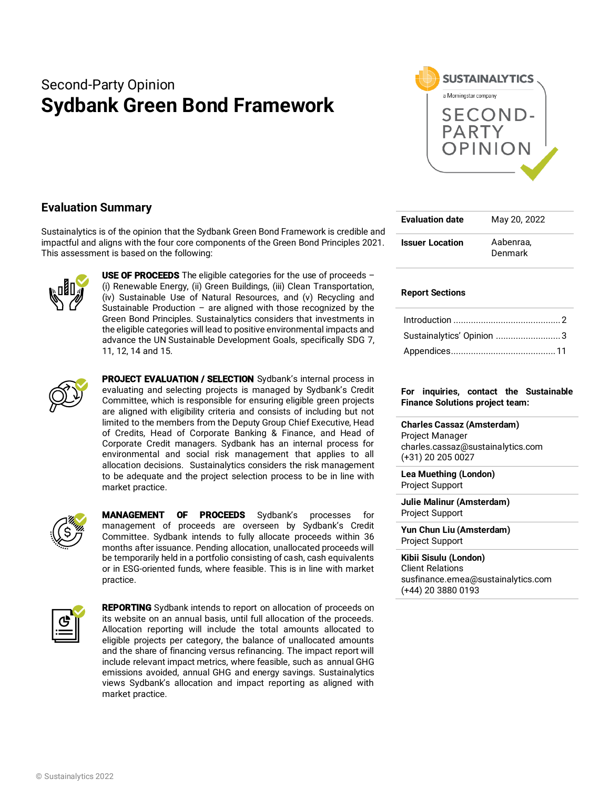# Second-Party Opinion **Sydbank Green Bond Framework**



# **Evaluation Summary**

Sustainalytics is of the opinion that the Sydbank Green Bond Framework is credible and impactful and aligns with the four core components of the Green Bond Principles 2021. This assessment is based on the following:



**USE OF PROCEEDS** The eligible categories for the use of proceeds  $-$ (i) Renewable Energy, (ii) Green Buildings, (iii) Clean Transportation, (iv) Sustainable Use of Natural Resources, and (v) Recycling and Sustainable Production – are aligned with those recognized by the Green Bond Principles. Sustainalytics considers that investments in the eligible categories will lead to positive environmental impacts and advance the UN Sustainable Development Goals, specifically SDG 7, 11, 12, 14 and 15.



PROJECT EVALUATION / SELECTION Sydbank's internal process in evaluating and selecting projects is managed by Sydbank's Credit Committee, which is responsible for ensuring eligible green projects are aligned with eligibility criteria and consists of including but not limited to the members from the Deputy Group Chief Executive, Head of Credits, Head of Corporate Banking & Finance, and Head of Corporate Credit managers. Sydbank has an internal process for environmental and social risk management that applies to all allocation decisions. Sustainalytics considers the risk management to be adequate and the project selection process to be in line with market practice.



MANAGEMENT OF PROCEEDS Sydbank's processes for management of proceeds are overseen by Sydbank's Credit Committee. Sydbank intends to fully allocate proceeds within 36 months after issuance. Pending allocation, unallocated proceeds will be temporarily held in a portfolio consisting of cash, cash equivalents or in ESG-oriented funds, where feasible. This is in line with market practice.



REPORTING Sydbank intends to report on allocation of proceeds on its website on an annual basis, until full allocation of the proceeds. Allocation reporting will include the total amounts allocated to eligible projects per category, the balance of unallocated amounts and the share of financing versus refinancing. The impact report will include relevant impact metrics, where feasible, such as annual GHG emissions avoided, annual GHG and energy savings. Sustainalytics views Sydbank's allocation and impact reporting as aligned with market practice.

| <b>Evaluation date</b> | May 20, 2022         |
|------------------------|----------------------|
| <b>Issuer Location</b> | Aabenraa.<br>Denmark |

## **Report Sections**

| Sustainalytics' Opinion 3 |  |
|---------------------------|--|
|                           |  |

## **For inquiries, contact the Sustainable Finance Solutions project team:**

**Charles Cassaz (Amsterdam)** Project Manager charles.cassaz@sustainalytics.com (+31) 20 205 0027

**Lea Muething (London)**  Project Support

**Julie Malinur (Amsterdam)**  Project Support

**Yun Chun Liu (Amsterdam)** Project Support

**Kibii Sisulu (London)** Client Relations susfinance.emea@sustainalytics.com (+44) 20 3880 0193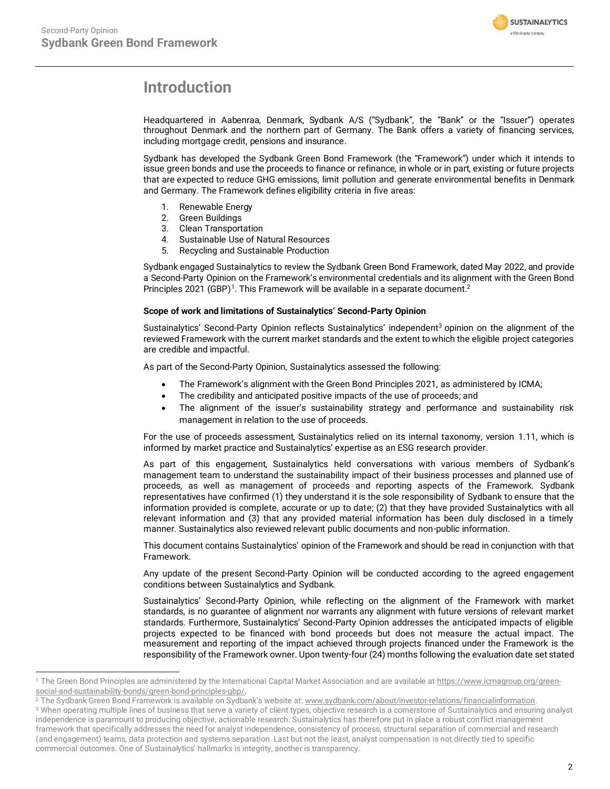

# <span id="page-1-0"></span>**Introduction**

Headquartered in Aabenraa, Denmark, Sydbank A/S ("Sydbank", the "Bank" or the "Issuer") operates throughout Denmark and the northern part of Germany. The Bank offers a variety of financing services, including mortgage credit, pensions and insurance.

Sydbank has developed the Sydbank Green Bond Framework (the "Framework") under which it intends to issue green bonds and use the proceeds to finance or refinance, in whole or in part, existing or future projects that are expected to reduce GHG emissions, limit pollution and generate environmental benefits in Denmark and Germany. The Framework defines eligibility criteria in five areas:

- 1. Renewable Energy
- 2. Green Buildings
- 3. Clean Transportation
- 4. Sustainable Use of Natural Resources
- 5. Recycling and Sustainable Production

Sydbank engaged Sustainalytics to review the Sydbank Green Bond Framework, dated May 2022, and provide a Second-Party Opinion on the Framework's environmental credentials and its alignment with the Green Bond Principles 2021 (GBP)<sup>1</sup>. This Framework will be available in a separate document.<sup>2</sup>

#### **Scope of work and limitations of Sustainalytics' Second-Party Opinion**

Sustainalytics' Second-Party Opinion reflects Sustainalytics' independent<sup>3</sup> opinion on the alignment of the reviewed Framework with the current market standards and the extent to which the eligible project categories are credible and impactful.

As part of the Second-Party Opinion, Sustainalytics assessed the following:

- The Framework's alignment with the Green Bond Principles 2021, as administered by ICMA;
- The credibility and anticipated positive impacts of the use of proceeds; and
- The alignment of the issuer's sustainability strategy and performance and sustainability risk management in relation to the use of proceeds.

For the use of proceeds assessment, Sustainalytics relied on its internal taxonomy, version 1.11, which is informed by market practice and Sustainalytics' expertise as an ESG research provider.

As part of this engagement, Sustainalytics held conversations with various members of Sydbank's management team to understand the sustainability impact of their business processes and planned use of proceeds, as well as management of proceeds and reporting aspects of the Framework. Sydbank representatives have confirmed (1) they understand it is the sole responsibility of Sydbank to ensure that the information provided is complete, accurate or up to date; (2) that they have provided Sustainalytics with all relevant information and (3) that any provided material information has been duly disclosed in a timely manner. Sustainalytics also reviewed relevant public documents and non-public information.

This document contains Sustainalytics' opinion of the Framework and should be read in conjunction with that Framework.

Any update of the present Second-Party Opinion will be conducted according to the agreed engagement conditions between Sustainalytics and Sydbank.

Sustainalytics' Second-Party Opinion, while reflecting on the alignment of the Framework with market standards, is no guarantee of alignment nor warrants any alignment with future versions of relevant market standards. Furthermore, Sustainalytics' Second-Party Opinion addresses the anticipated impacts of eligible projects expected to be financed with bond proceeds but does not measure the actual impact. The measurement and reporting of the impact achieved through projects financed under the Framework is the responsibility of the Framework owner. Upon twenty-four (24) months following the evaluation date set stated

<sup>&</sup>lt;sup>1</sup> The Green Bond Principles are administered by the International Capital Market Association and are available a[t https://www.icmagroup.org/green](https://www.icmagroup.org/green-social-and-sustainability-bonds/green-bond-principles-gbp/)[social-and-sustainability-bonds/green-bond-principles-gbp/.](https://www.icmagroup.org/green-social-and-sustainability-bonds/green-bond-principles-gbp/)

<sup>&</sup>lt;sup>2</sup> The Sydbank Green Bond Framework is available on Sydbank's website at[: www.sydbank.com/about/investor-relations/financialinformation.](http://www.sydbank.com/about/investor-relations/financialinformation)

<sup>&</sup>lt;sup>3</sup> When operating multiple lines of business that serve a variety of client types, objective research is a cornerstone of Sustainalytics and ensuring analyst independence is paramount to producing objective, actionable research. Sustainalytics has therefore put in place a robust conflict management framework that specifically addresses the need for analyst independence, consistency of process, structural separation of commercial and research (and engagement) teams, data protection and systems separation. Last but not the least, analyst compensation is not directly tied to specific commercial outcomes. One of Sustainalytics' hallmarks is integrity, another is transparency.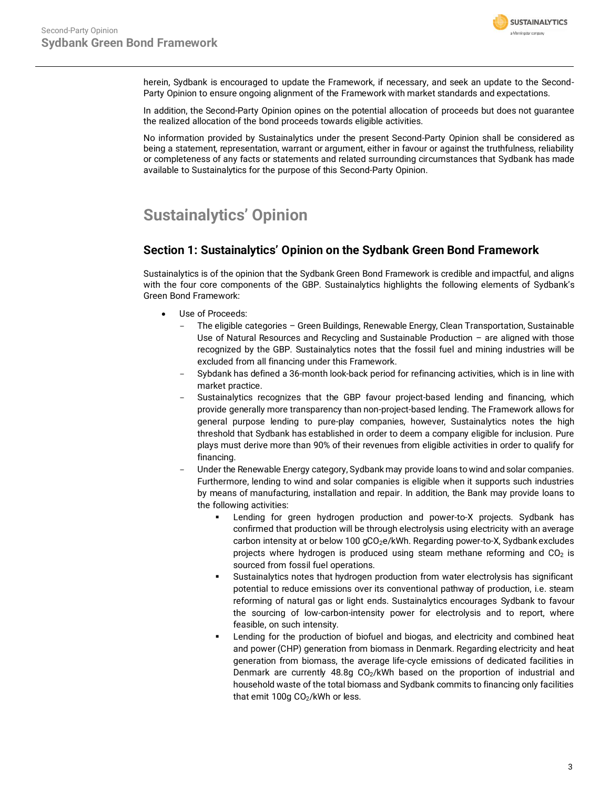

herein, Sydbank is encouraged to update the Framework, if necessary, and seek an update to the Second-Party Opinion to ensure ongoing alignment of the Framework with market standards and expectations.

In addition, the Second-Party Opinion opines on the potential allocation of proceeds but does not guarantee the realized allocation of the bond proceeds towards eligible activities.

No information provided by Sustainalytics under the present Second-Party Opinion shall be considered as being a statement, representation, warrant or argument, either in favour or against the truthfulness, reliability or completeness of any facts or statements and related surrounding circumstances that Sydbank has made available to Sustainalytics for the purpose of this Second-Party Opinion.

# <span id="page-2-0"></span>**Sustainalytics' Opinion**

# **Section 1: Sustainalytics' Opinion on the Sydbank Green Bond Framework**

Sustainalytics is of the opinion that the Sydbank Green Bond Framework is credible and impactful, and aligns with the four core components of the GBP. Sustainalytics highlights the following elements of Sydbank's Green Bond Framework:

- Use of Proceeds:
	- The eligible categories Green Buildings, Renewable Energy, Clean Transportation, Sustainable Use of Natural Resources and Recycling and Sustainable Production – are aligned with those recognized by the GBP. Sustainalytics notes that the fossil fuel and mining industries will be excluded from all financing under this Framework.
	- Sybdank has defined a 36-month look-back period for refinancing activities, which is in line with market practice.
	- Sustainalytics recognizes that the GBP favour project-based lending and financing, which provide generally more transparency than non-project-based lending. The Framework allows for general purpose lending to pure-play companies, however, Sustainalytics notes the high threshold that Sydbank has established in order to deem a company eligible for inclusion. Pure plays must derive more than 90% of their revenues from eligible activities in order to qualify for financing.
	- Under the Renewable Energy category, Sydbank may provide loans to wind and solar companies. Furthermore, lending to wind and solar companies is eligible when it supports such industries by means of manufacturing, installation and repair. In addition, the Bank may provide loans to the following activities:
		- Lending for green hydrogen production and power-to-X projects. Sydbank has confirmed that production will be through electrolysis using electricity with an average carbon intensity at or below 100  $gCO<sub>2</sub>e/kWh$ . Regarding power-to-X, Sydbank excludes projects where hydrogen is produced using steam methane reforming and  $CO<sub>2</sub>$  is sourced from fossil fuel operations.
		- Sustainalytics notes that hydrogen production from water electrolysis has significant potential to reduce emissions over its conventional pathway of production, i.e. steam reforming of natural gas or light ends. Sustainalytics encourages Sydbank to favour the sourcing of low-carbon-intensity power for electrolysis and to report, where feasible, on such intensity.
		- Lending for the production of biofuel and biogas, and electricity and combined heat and power (CHP) generation from biomass in Denmark. Regarding electricity and heat generation from biomass, the average life-cycle emissions of dedicated facilities in Denmark are currently 48.8g CO<sub>2</sub>/kWh based on the proportion of industrial and household waste of the total biomass and Sydbank commits to financing only facilities that emit 100g  $CO<sub>2</sub>/kWh$  or less.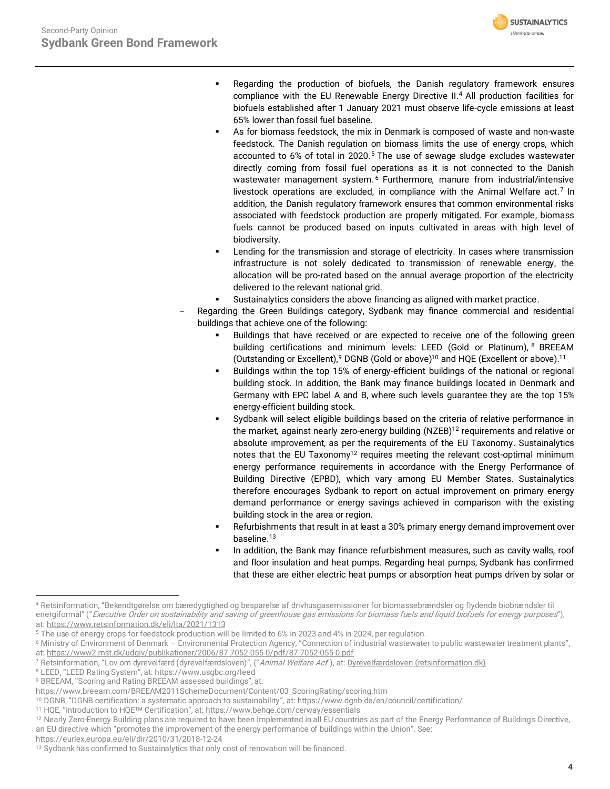

- Regarding the production of biofuels, the Danish regulatory framework ensures compliance with the EU Renewable Energy Directive II. <sup>4</sup> All production facilities for biofuels established after 1 January 2021 must observe life-cycle emissions at least 65% lower than fossil fuel baseline.
- As for biomass feedstock, the mix in Denmark is composed of waste and non-waste feedstock. The Danish regulation on biomass limits the use of energy crops, which accounted to 6% of total in 2020.<sup>5</sup> The use of sewage sludge excludes wastewater directly coming from fossil fuel operations as it is not connected to the Danish wastewater management system.<sup>6</sup> Furthermore, manure from industrial/intensive livestock operations are excluded, in compliance with the Animal Welfare act.<sup>7</sup> In addition, the Danish regulatory framework ensures that common environmental risks associated with feedstock production are properly mitigated. For example, biomass fuels cannot be produced based on inputs cultivated in areas with high level of biodiversity.
- Lending for the transmission and storage of electricity. In cases where transmission infrastructure is not solely dedicated to transmission of renewable energy, the allocation will be pro-rated based on the annual average proportion of the electricity delivered to the relevant national grid.
- <span id="page-3-0"></span>Sustainalytics considers the above financing as aligned with market practice.
- Regarding the Green Buildings category, Sydbank may finance commercial and residential buildings that achieve one of the following:
	- Buildings that have received or are expected to receive one of the following green building certifications and minimum levels: LEED (Gold or Platinum), <sup>8</sup> BREEAM (Outstanding or Excellent),  $9$  DGNB (Gold or above)<sup>10</sup> and HQE (Excellent or above).<sup>11</sup>
	- Buildings within the top 15% of energy-efficient buildings of the national or regional building stock. In addition, the Bank may finance buildings located in Denmark and Germany with EPC label A and B, where such levels guarantee they are the top 15% energy-efficient building stock.
	- Sydbank will select eligible buildings based on the criteria of relative performance in the market, against nearly zero-energy building  $(NZEB)^{12}$  requirements and relative or absolute improvement, as per the requirements of the EU Taxonomy. Sustainalytics notes that the EU Taxonomy<sup>[12](#page-3-0)</sup> requires meeting the relevant cost-optimal minimum energy performance requirements in accordance with the Energy Performance of Building Directive (EPBD), which vary among EU Member States. Sustainalytics therefore encourages Sydbank to report on actual improvement on primary energy demand performance or energy savings achieved in comparison with the existing building stock in the area or region.
	- Refurbishments that result in at least a 30% primary energy demand improvement over baseline. 13
	- In addition, the Bank may finance refurbishment measures, such as cavity walls, roof and floor insulation and heat pumps. Regarding heat pumps, Sydbank has confirmed that these are either electric heat pumps or absorption heat pumps driven by solar or

<https://eurlex.europa.eu/eli/dir/2010/31/2018-12-24>

<sup>4</sup> Retsinformation, "Bekendtgørelse om bæredygtighed og besparelse af drivhusgasemissioner for biomassebrændsler og flydende biobrændsler til energiformål" ("Executive Order on sustainability and saving of greenhouse gas emissions for biomass fuels and liquid biofuels for energy purposes"), at:<https://www.retsinformation.dk/eli/lta/2021/1313>

<sup>5</sup> The use of energy crops for feedstock production will be limited to 6% in 2023 and 4% in 2024, per regulation.

<sup>6</sup> Ministry of Environment of Denmark – Environmental Protection Agency, "Connection of industrial wastewater to public wastewater treatment plants", at:<https://www2.mst.dk/udgiv/publikationer/2006/87-7052-055-0/pdf/87-7052-055-0.pdf>

<sup>&</sup>lt;sup>7</sup> Retsinformation, "Lov om dyrevelfærd (dyrevelfærdsloven)", ("*Animal Welfare Act*"), at: <u>[Dyrevelfærdsloven \(retsinformation.dk\)](https://www.retsinformation.dk/eli/lta/2020/133)</u>

<sup>8</sup> LEED, "LEED Rating System", at: https://www.usgbc.org/leed

<sup>9</sup> BREEAM, "Scoring and Rating BREEAM assessed buildings", at:

https://www.breeam.com/BREEAM2011SchemeDocument/Content/03\_ScoringRating/scoring.htm

<sup>10</sup> DGNB, "DGNB certification: a systematic approach to sustainability", at: https://www.dgnb.de/en/council/certification/

<sup>11</sup> HQE, "Introduction to HQETM Certification", at: <https://www.behqe.com/cerway/essentials>

<sup>&</sup>lt;sup>12</sup> Nearly Zero-Energy Building plans are required to have been implemented in all EU countries as part of the Energy Performance of Buildings Directive, an EU directive which "promotes the improvement of the energy performance of buildings within the Union". See:

<sup>&</sup>lt;sup>13</sup> Sydbank has confirmed to Sustainalytics that only cost of renovation will be financed.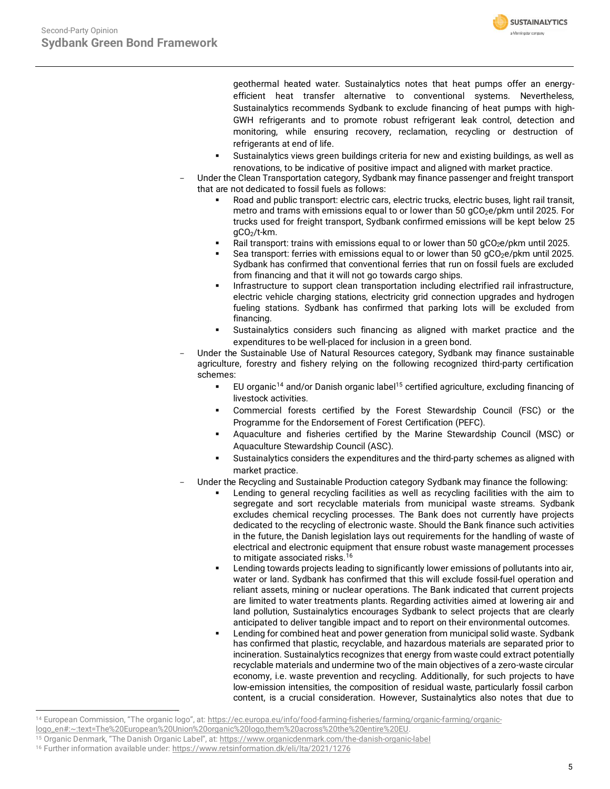

geothermal heated water. Sustainalytics notes that heat pumps offer an energyefficient heat transfer alternative to conventional systems. Nevertheless, Sustainalytics recommends Sydbank to exclude financing of heat pumps with high-GWH refrigerants and to promote robust refrigerant leak control, detection and monitoring, while ensuring recovery, reclamation, recycling or destruction of refrigerants at end of life.

- Sustainalytics views green buildings criteria for new and existing buildings, as well as renovations, to be indicative of positive impact and aligned with market practice.
- Under the Clean Transportation category, Sydbank may finance passenger and freight transport that are not dedicated to fossil fuels as follows:
	- Road and public transport: electric cars, electric trucks, electric buses, light rail transit, metro and trams with emissions equal to or lower than 50  $qCO<sub>2</sub>e/pkm$  until 2025. For trucks used for freight transport, Sydbank confirmed emissions will be kept below 25 gCO2/t-km.
	- Rail transport: trains with emissions equal to or lower than 50  $gCO<sub>2</sub>e/pkm$  until 2025.
	- Sea transport: ferries with emissions equal to or lower than 50  $qCO<sub>2</sub>e/pkm$  until 2025. Sydbank has confirmed that conventional ferries that run on fossil fuels are excluded from financing and that it will not go towards cargo ships.
	- Infrastructure to support clean transportation including electrified rail infrastructure, electric vehicle charging stations, electricity grid connection upgrades and hydrogen fueling stations. Sydbank has confirmed that parking lots will be excluded from financing.
	- Sustainalytics considers such financing as aligned with market practice and the expenditures to be well-placed for inclusion in a green bond.
- Under the Sustainable Use of Natural Resources category, Sydbank may finance sustainable agriculture, forestry and fishery relying on the following recognized third-party certification schemes:
	- EU organic<sup>14</sup> and/or Danish organic label<sup>15</sup> certified agriculture, excluding financing of livestock activities.
	- Commercial forests certified by the Forest Stewardship Council (FSC) or the Programme for the Endorsement of Forest Certification (PEFC).
	- Aquaculture and fisheries certified by the Marine Stewardship Council (MSC) or Aquaculture Stewardship Council (ASC).
	- Sustainalytics considers the expenditures and the third-party schemes as aligned with market practice.
- Under the Recycling and Sustainable Production category Sydbank may finance the following:
	- Lending to general recycling facilities as well as recycling facilities with the aim to segregate and sort recyclable materials from municipal waste streams. Sydbank excludes chemical recycling processes. The Bank does not currently have projects dedicated to the recycling of electronic waste. Should the Bank finance such activities in the future, the Danish legislation lays out requirements for the handling of waste of electrical and electronic equipment that ensure robust waste management processes to mitigate associated risks. 16
	- Lending towards projects leading to significantly lower emissions of pollutants into air, water or land. Sydbank has confirmed that this will exclude fossil-fuel operation and reliant assets, mining or nuclear operations. The Bank indicated that current projects are limited to water treatments plants. Regarding activities aimed at lowering air and land pollution, Sustainalytics encourages Sydbank to select projects that are clearly anticipated to deliver tangible impact and to report on their environmental outcomes.
	- Lending for combined heat and power generation from municipal solid waste. Sydbank has confirmed that plastic, recyclable, and hazardous materials are separated prior to incineration. Sustainalytics recognizes that energy from waste could extract potentially recyclable materials and undermine two of the main objectives of a zero-waste circular economy, i.e. waste prevention and recycling. Additionally, for such projects to have low-emission intensities, the composition of residual waste, particularly fossil carbon content, is a crucial consideration. However, Sustainalytics also notes that due to

<sup>14</sup> European Commission, "The organic logo", at: [https://ec.europa.eu/info/food-farming-fisheries/farming/organic-farming/organic-](https://ec.europa.eu/info/food-farming-fisheries/farming/organic-farming/organic-logo_en#:~:text=The%20European%20Union%20organic%20logo,them%20across%20the%20entire%20EU)

[logo\\_en#:~:text=The%20European%20Union%20organic%20logo,them%20across%20the%20entire%20EU.](https://ec.europa.eu/info/food-farming-fisheries/farming/organic-farming/organic-logo_en#:~:text=The%20European%20Union%20organic%20logo,them%20across%20the%20entire%20EU)

<sup>15</sup> Organic Denmark, "The Danish Organic Label", at: <https://www.organicdenmark.com/the-danish-organic-label>

<sup>16</sup> Further information available under[: https://www.retsinformation.dk/eli/lta/2021/1276](https://www.retsinformation.dk/eli/lta/2021/1276)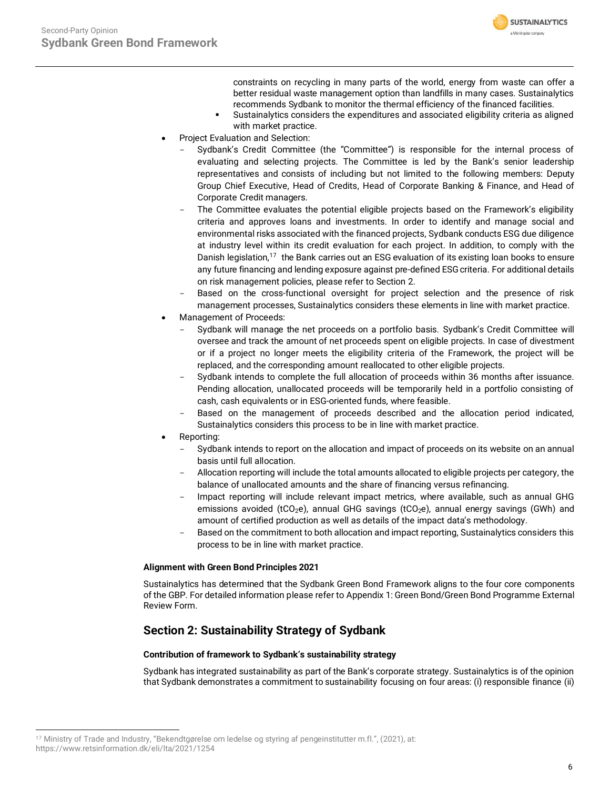

constraints on recycling in many parts of the world, energy from waste can offer a better residual waste management option than landfills in many cases. Sustainalytics recommends Sydbank to monitor the thermal efficiency of the financed facilities.

- Sustainalytics considers the expenditures and associated eligibility criteria as aligned with market practice.
- Project Evaluation and Selection:
	- Sydbank's Credit Committee (the "Committee") is responsible for the internal process of evaluating and selecting projects. The Committee is led by the Bank's senior leadership representatives and consists of including but not limited to the following members: Deputy Group Chief Executive, Head of Credits, Head of Corporate Banking & Finance, and Head of Corporate Credit managers.
	- The Committee evaluates the potential eligible projects based on the Framework's eligibility criteria and approves loans and investments. In order to identify and manage social and environmental risks associated with the financed projects, Sydbank conducts ESG due diligence at industry level within its credit evaluation for each project. In addition, to comply with the Danish legislation,<sup>17</sup> the Bank carries out an ESG evaluation of its existing loan books to ensure any future financing and lending exposure against pre-defined ESG criteria. For additional details on risk management policies, please refer to Section 2.
	- Based on the cross-functional oversight for project selection and the presence of risk management processes, Sustainalytics considers these elements in line with market practice.
- Management of Proceeds:
	- Sydbank will manage the net proceeds on a portfolio basis. Sydbank's Credit Committee will oversee and track the amount of net proceeds spent on eligible projects. In case of divestment or if a project no longer meets the eligibility criteria of the Framework, the project will be replaced, and the corresponding amount reallocated to other eligible projects.
	- Sydbank intends to complete the full allocation of proceeds within 36 months after issuance. Pending allocation, unallocated proceeds will be temporarily held in a portfolio consisting of cash, cash equivalents or in ESG-oriented funds, where feasible.
	- Based on the management of proceeds described and the allocation period indicated, Sustainalytics considers this process to be in line with market practice.
- Reporting:
	- Sydbank intends to report on the allocation and impact of proceeds on its website on an annual basis until full allocation.
	- Allocation reporting will include the total amounts allocated to eligible projects per category, the balance of unallocated amounts and the share of financing versus refinancing.
	- Impact reporting will include relevant impact metrics, where available, such as annual GHG emissions avoided (tCO<sub>2</sub>e), annual GHG savings (tCO<sub>2</sub>e), annual energy savings (GWh) and amount of certified production as well as details of the impact data's methodology.
	- Based on the commitment to both allocation and impact reporting, Sustainalytics considers this process to be in line with market practice.

# **Alignment with Green Bond Principles 2021**

Sustainalytics has determined that the Sydbank Green Bond Framework aligns to the four core components of the GBP. For detailed information please refer to Appendix 1: Green Bond/Green Bond Programme External Review Form.

# **Section 2: Sustainability Strategy of Sydbank**

# **Contribution of framework to Sydbank's sustainability strategy**

Sydbank has integrated sustainability as part of the Bank's corporate strategy. Sustainalytics is of the opinion that Sydbank demonstrates a commitment to sustainability focusing on four areas: (i) responsible finance (ii)

<sup>17</sup> Ministry of Trade and Industry, "Bekendtgørelse om ledelse og styring af pengeinstitutter m.fl.", (2021), at: https://www.retsinformation.dk/eli/lta/2021/1254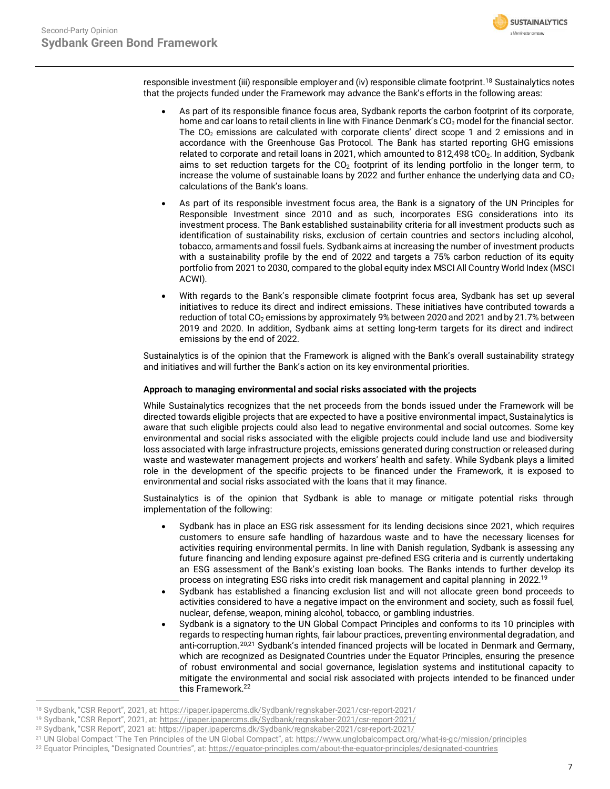**SUSTAINALYTICS** a Morninostar company

responsible investment (iii) responsible employer and (iv) responsible climate footprint. <sup>18</sup> Sustainalytics notes that the projects funded under the Framework may advance the Bank's efforts in the following areas:

- As part of its responsible finance focus area, Sydbank reports the carbon footprint of its corporate, home and car loans to retail clients in line with Finance Denmark's CO<sub>2</sub> model for the financial sector. The CO<sub>2</sub> emissions are calculated with corporate clients' direct scope 1 and 2 emissions and in accordance with the Greenhouse Gas Protocol. The Bank has started reporting GHG emissions related to corporate and retail loans in 2021, which amounted to 812,498 tCO<sub>2</sub>. In addition, Sydbank aims to set reduction targets for the  $CO<sub>2</sub>$  footprint of its lending portfolio in the longer term, to increase the volume of sustainable loans by 2022 and further enhance the underlying data and  $CO<sub>2</sub>$ calculations of the Bank's loans.
- As part of its responsible investment focus area, the Bank is a signatory of the UN Principles for Responsible Investment since 2010 and as such, incorporates ESG considerations into its investment process. The Bank established sustainability criteria for all investment products such as identification of sustainability risks, exclusion of certain countries and sectors including alcohol, tobacco, armaments and fossil fuels. Sydbank aims at increasing the number of investment products with a sustainability profile by the end of 2022 and targets a 75% carbon reduction of its equity portfolio from 2021 to 2030, compared to the global equity index MSCI All Country World Index (MSCI ACWI).
- With regards to the Bank's responsible climate footprint focus area, Sydbank has set up several initiatives to reduce its direct and indirect emissions. These initiatives have contributed towards a reduction of total CO<sub>2</sub> emissions by approximately 9% between 2020 and 2021 and by 21.7% between 2019 and 2020. In addition, Sydbank aims at setting long-term targets for its direct and indirect emissions by the end of 2022.

Sustainalytics is of the opinion that the Framework is aligned with the Bank's overall sustainability strategy and initiatives and will further the Bank's action on its key environmental priorities.

# **Approach to managing environmental and social risks associated with the projects**

While Sustainalytics recognizes that the net proceeds from the bonds issued under the Framework will be directed towards eligible projects that are expected to have a positive environmental impact, Sustainalytics is aware that such eligible projects could also lead to negative environmental and social outcomes. Some key environmental and social risks associated with the eligible projects could include land use and biodiversity loss associated with large infrastructure projects, emissions generated during construction or released during waste and wastewater management projects and workers' health and safety. While Sydbank plays a limited role in the development of the specific projects to be financed under the Framework, it is exposed to environmental and social risks associated with the loans that it may finance.

Sustainalytics is of the opinion that Sydbank is able to manage or mitigate potential risks through implementation of the following:

- Sydbank has in place an ESG risk assessment for its lending decisions since 2021, which requires customers to ensure safe handling of hazardous waste and to have the necessary licenses for activities requiring environmental permits. In line with Danish regulation, Sydbank is assessing any future financing and lending exposure against pre-defined ESG criteria and is currently undertaking an ESG assessment of the Bank's existing loan books. The Banks intends to further develop its process on integrating ESG risks into credit risk management and capital planning in 2022.<sup>19</sup>
- Sydbank has established a financing exclusion list and will not allocate green bond proceeds to activities considered to have a negative impact on the environment and society, such as fossil fuel, nuclear, defense, weapon, mining alcohol, tobacco, or gambling industries.
- Sydbank is a signatory to the UN Global Compact Principles and conforms to its 10 principles with regards to respecting human rights, fair labour practices, preventing environmental degradation, and anti-corruption.<sup>20,21</sup> Sydbank's intended financed projects will be located in Denmark and Germany, which are recognized as Designated Countries under the Equator Principles, ensuring the presence of robust environmental and social governance, legislation systems and institutional capacity to mitigate the environmental and social risk associated with projects intended to be financed under this Framework.<sup>22</sup>

<sup>18</sup> Sydbank, "CSR Report", 2021, at: <https://ipaper.ipapercms.dk/Sydbank/regnskaber-2021/csr-report-2021/>

<sup>19</sup> Sydbank, "CSR Report", 2021, at: <https://ipaper.ipapercms.dk/Sydbank/regnskaber-2021/csr-report-2021/>

<sup>20</sup> Sydbank, "CSR Report", 2021 at: <https://ipaper.ipapercms.dk/Sydbank/regnskaber-2021/csr-report-2021/>

<sup>21</sup> UN Global Compact "The Ten Principles of the UN Global Compact", at: <https://www.unglobalcompact.org/what-is-gc/mission/principles>

<sup>&</sup>lt;sup>22</sup> Equator Principles, "Designated Countries", at: <https://equator-principles.com/about-the-equator-principles/designated-countries>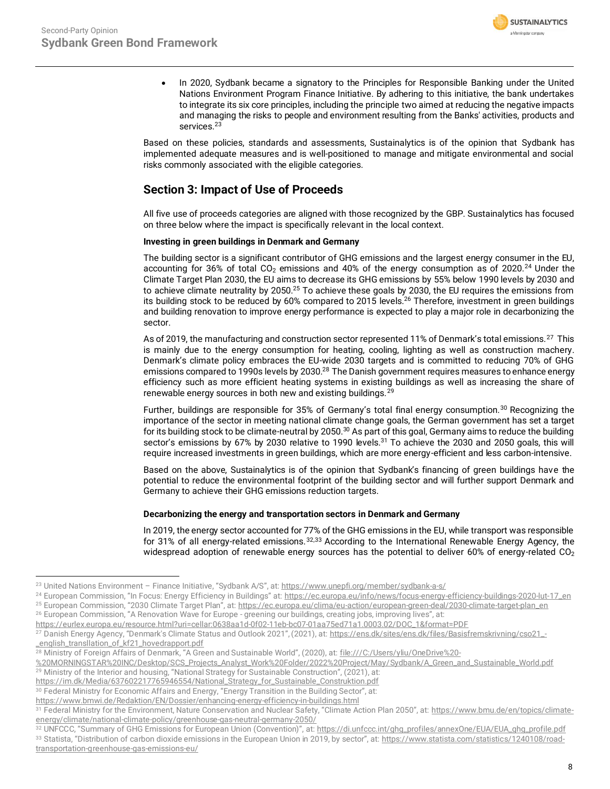

• In 2020, Sydbank became a signatory to the Principles for Responsible Banking under the United Nations Environment Program Finance Initiative. By adhering to this initiative, the bank undertakes to integrate its six core principles, including the principle two aimed at reducing the negative impacts and managing the risks to people and environment resulting from the Banks' activities, products and services.<sup>23</sup>

Based on these policies, standards and assessments, Sustainalytics is of the opinion that Sydbank has implemented adequate measures and is well-positioned to manage and mitigate environmental and social risks commonly associated with the eligible categories.

# **Section 3: Impact of Use of Proceeds**

All five use of proceeds categories are aligned with those recognized by the GBP. Sustainalytics has focused on three below where the impact is specifically relevant in the local context.

# **Investing in green buildings in Denmark and Germany**

The building sector is a significant contributor of GHG emissions and the largest energy consumer in the EU, accounting for 36% of total  $CO<sub>2</sub>$  emissions and 40% of the energy consumption as of 2020.<sup>24</sup> Under the Climate Target Plan 2030, the EU aims to decrease its GHG emissions by 55% below 1990 levels by 2030 and to achieve climate neutrality by 2050.<sup>25</sup> To achieve these goals by 2030, the EU requires the emissions from its building stock to be reduced by 60% compared to 2015 levels.<sup>26</sup> Therefore, investment in green buildings and building renovation to improve energy performance is expected to play a major role in decarbonizing the sector.

As of 2019, the manufacturing and construction sector represented 11% of Denmark's total emissions.<sup>27</sup> This is mainly due to the energy consumption for heating, cooling, lighting as well as construction machery. Denmark's climate policy embraces the EU-wide 2030 targets and is committed to reducing 70% of GHG emissions compared to 1990s levels by 2030.<sup>28</sup> The Danish government requires measures to enhance energy efficiency such as more efficient heating systems in existing buildings as well as increasing the share of renewable energy sources in both new and existing buildings.<sup>29</sup>

<span id="page-7-0"></span>Further, buildings are responsible for 35% of Germany's total final energy consumption.<sup>30</sup> Recognizing the importance of the sector in meeting national climate change goals, the German government has set a target for its building stock to be climate-neutral by 2050.<sup>[30](#page-7-0)</sup> As part of this goal, Germany aims to reduce the building sector's emissions by 67% by 2030 relative to 1990 levels.<sup>31</sup> To achieve the 2030 and 2050 goals, this will require increased investments in green buildings, which are more energy-efficient and less carbon-intensive.

Based on the above, Sustainalytics is of the opinion that Sydbank's financing of green buildings have the potential to reduce the environmental footprint of the building sector and will further support Denmark and Germany to achieve their GHG emissions reduction targets.

## **Decarbonizing the energy and transportation sectors in Denmark and Germany**

In 2019, the energy sector accounted for 77% of the GHG emissions in the EU, while transport was responsible for 31% of all energy-related emissions.<sup>32,33</sup> According to the International Renewable Energy Agency, the widespread adoption of renewable energy sources has the potential to deliver 60% of energy-related  $CO<sub>2</sub>$ 

<sup>&</sup>lt;sup>23</sup> United Nations Environment - Finance Initiative, "Sydbank A/S", at: <https://www.unepfi.org/member/sydbank-a-s/>

<sup>&</sup>lt;sup>24</sup> European Commission, "In Focus: Energy Efficiency in Buildings" at: [https://ec.europa.eu/info/news/focus-energy-efficiency-buildings-2020-lut-17\\_en](https://ec.europa.eu/info/news/focus-energy-efficiency-buildings-2020-lut-17_en)

<sup>&</sup>lt;sup>25</sup> European Commission, "2030 Climate Target Plan", at: [https://ec.europa.eu/clima/eu-action/european-green-deal/2030-climate-target-plan\\_en](https://ec.europa.eu/clima/eu-action/european-green-deal/2030-climate-target-plan_en)

<sup>&</sup>lt;sup>26</sup> European Commission, "A Renovation Wave for Europe - greening our buildings, creating jobs, improving lives", at:

[https://eurlex.europa.eu/resource.html?uri=cellar:0638aa1d-0f02-11eb-bc07-01aa75ed71a1.0003.02/DOC\\_1&format=PDF](https://eurlex.europa.eu/resource.html?uri=cellar:0638aa1d-0f02-11eb-bc07-01aa75ed71a1.0003.02/DOC_1&format=PDF)

<sup>&</sup>lt;sup>27</sup> Danish Energy Agency, "Denmark's Climate Status and Outlook 2021", (2021), at: [https://ens.dk/sites/ens.dk/files/Basisfremskrivning/cso21\\_-](https://ens.dk/sites/ens.dk/files/Basisfremskrivning/cso21_-_english_transllation_of_kf21_hovedrapport.pdf) [\\_english\\_transllation\\_of\\_kf21\\_hovedrapport.pdf](https://ens.dk/sites/ens.dk/files/Basisfremskrivning/cso21_-_english_transllation_of_kf21_hovedrapport.pdf)

<sup>&</sup>lt;sup>28</sup> Ministry of Foreign Affairs of Denmark, "A Green and Sustainable World", (2020), at: [file:///C:/Users/yliu/OneDrive%20-](file:///C:/Users/yliu/OneDrive%20-%20MORNINGSTAR%20INC/Desktop/SCS_Projects_Analyst_Work%20Folder/2022%20Project/May/Sydbank/A_Green_and_Sustainable_World.pdf)

[<sup>%20</sup>MORNINGSTAR%20INC/Desktop/SCS\\_Projects\\_Analyst\\_Work%20Folder/2022%20Project/May/Sydbank/A\\_Green\\_and\\_Sustainable\\_World.pdf](file:///C:/Users/yliu/OneDrive%20-%20MORNINGSTAR%20INC/Desktop/SCS_Projects_Analyst_Work%20Folder/2022%20Project/May/Sydbank/A_Green_and_Sustainable_World.pdf) <sup>29</sup> Ministry of the Interior and housing, "National Strategy for Sustainable Construction", (2021), at:

[https://im.dk/Media/637602217765946554/National\\_Strategy\\_for\\_Sustainable\\_Construktion.pdf](https://im.dk/Media/637602217765946554/National_Strategy_for_Sustainable_Construktion.pdf) 

<sup>&</sup>lt;sup>30</sup> Federal Ministry for Economic Affairs and Energy, "Energy Transition in the Building Sector", at:

<https://www.bmwi.de/Redaktion/EN/Dossier/enhancing-energy-efficiency-in-buildings.html>

<sup>31</sup> Federal Ministry for the Environment, Nature Conservation and Nuclear Safety, "Climate Action Plan 2050", at: [https://www.bmu.de/en/topics/climate](https://www.bmu.de/en/topics/climate-energy/climate/national-climate-policy/greenhouse-gas-neutral-germany-2050/)[energy/climate/national-climate-policy/greenhouse-gas-neutral-germany-2050/](https://www.bmu.de/en/topics/climate-energy/climate/national-climate-policy/greenhouse-gas-neutral-germany-2050/)

<sup>32</sup> UNFCCC, "Summary of GHG Emissions for European Union (Convention)", at[: https://di.unfccc.int/ghg\\_profiles/annexOne/EUA/EUA\\_ghg\\_profile.pdf](https://di.unfccc.int/ghg_profiles/annexOne/EUA/EUA_ghg_profile.pdf) <sup>33</sup> Statista, "Distribution of carbon dioxide emissions in the European Union in 2019, by sector", at: [https://www.statista.com/statistics/1240108/road](https://www.statista.com/statistics/1240108/road-transportation-greenhouse-gas-emissions-eu/)[transportation-greenhouse-gas-emissions-eu/](https://www.statista.com/statistics/1240108/road-transportation-greenhouse-gas-emissions-eu/)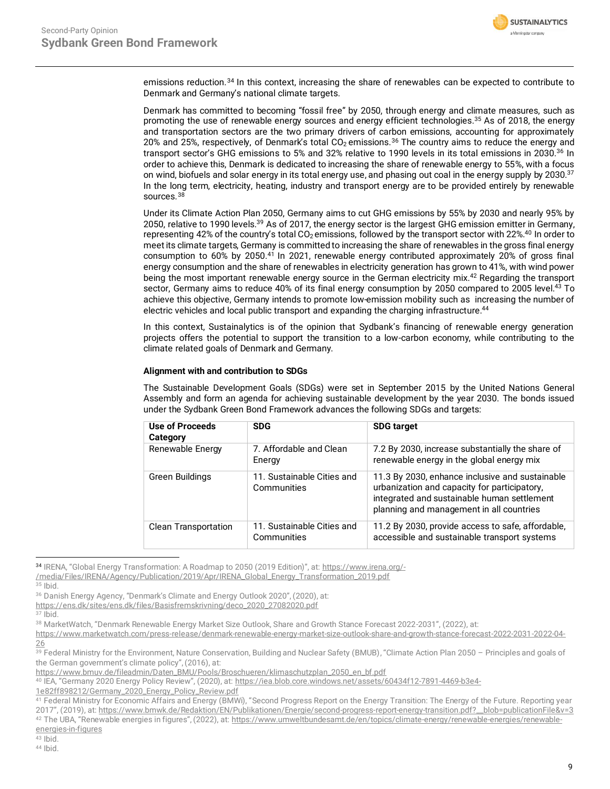<span id="page-8-0"></span>

emissions reduction.<sup>34</sup> In this context, increasing the share of renewables can be expected to contribute to Denmark and Germany's national climate targets.

Denmark has committed to becoming "fossil free" by 2050, through energy and climate measures, such as promoting the use of renewable energy sources and energy efficient technologies.<sup>35</sup> As of 2018, the energy and transportation sectors are the two primary drivers of carbon emissions, accounting for approximately 20% and 25%, respectively, of Denmark's total CO<sub>2</sub> emissions.<sup>36</sup> The country aims to reduce the energy and transport sector's GHG emissions to 5% and 32% relative to 1990 levels in its total emissions in 2030.[36](#page-8-0) In order to achieve this, Denmark is dedicated to increasing the share of renewable energy to 55%, with a focus on wind, biofuels and solar energy in its total energy use, and phasing out coal in the energy supply by 2030.<sup>37</sup> In the long term, electricity, heating, industry and transport energy are to be provided entirely by renewable sources.<sup>38</sup>

Under its Climate Action Plan 2050, Germany aims to cut GHG emissions by 55% by 2030 and nearly 95% by 2050, relative to 1990 levels.<sup>39</sup> As of 2017, the energy sector is the largest GHG emission emitter in Germany, representing 42% of the country's total  $CO_2$  emissions, followed by the transport sector with 22%.<sup>40</sup> In order to meet its climate targets, Germany is committed to increasing the share of renewables in the gross final energy consumption to 60% by 2050. <sup>41</sup> In 2021, renewable energy contributed approximately 20% of gross final energy consumption and the share of renewables in electricity generation has grown to 41%, with wind power being the most important renewable energy source in the German electricity mix.<sup>42</sup> Regarding the transport sector, Germany aims to reduce 40% of its final energy consumption by 2050 compared to 2005 level.<sup>43</sup> To achieve this objective, Germany intends to promote low-emission mobility such as increasing the number of electric vehicles and local public transport and expanding the charging infrastructure. 44

In this context, Sustainalytics is of the opinion that Sydbank's financing of renewable energy generation projects offers the potential to support the transition to a low-carbon economy, while contributing to the climate related goals of Denmark and Germany.

#### **Alignment with and contribution to SDGs**

The Sustainable Development Goals (SDGs) were set in September 2015 by the United Nations General Assembly and form an agenda for achieving sustainable development by the year 2030. The bonds issued under the Sydbank Green Bond Framework advances the following SDGs and targets:

| Use of Proceeds<br>Category | <b>SDG</b>                                | <b>SDG target</b>                                                                                                                                                                          |
|-----------------------------|-------------------------------------------|--------------------------------------------------------------------------------------------------------------------------------------------------------------------------------------------|
| Renewable Energy            | 7. Affordable and Clean<br>Energy         | 7.2 By 2030, increase substantially the share of<br>renewable energy in the global energy mix                                                                                              |
| Green Buildings             | 11. Sustainable Cities and<br>Communities | 11.3 By 2030, enhance inclusive and sustainable<br>urbanization and capacity for participatory,<br>integrated and sustainable human settlement<br>planning and management in all countries |
| <b>Clean Transportation</b> | 11. Sustainable Cities and<br>Communities | 11.2 By 2030, provide access to safe, affordable,<br>accessible and sustainable transport systems                                                                                          |

<sup>34</sup> IRENA, "Global Energy Transformation: A Roadmap to 2050 (2019 Edition)", at: [https://www.irena.org/-](https://www.irena.org/-/media/Files/IRENA/Agency/Publication/2019/Apr/IRENA_Global_Energy_Transformation_2019.pdf)

[/media/Files/IRENA/Agency/Publication/2019/Apr/IRENA\\_Global\\_Energy\\_Transformation\\_2019.pdf](https://www.irena.org/-/media/Files/IRENA/Agency/Publication/2019/Apr/IRENA_Global_Energy_Transformation_2019.pdf)

 $35$  Ibid.

<sup>36</sup> Danish Energy Agency, "Denmark's Climate and Energy Outlook 2020", (2020), at:

[https://ens.dk/sites/ens.dk/files/Basisfremskrivning/deco\\_2020\\_27082020.pdf](https://ens.dk/sites/ens.dk/files/Basisfremskrivning/deco_2020_27082020.pdf)

<sup>37</sup> Ibid.

<sup>38</sup> MarketWatch, "Denmark Renewable Energy Market Size Outlook, Share and Growth Stance Forecast 2022-2031", (2022), at:

[https://www.marketwatch.com/press-release/denmark-renewable-energy-market-size-outlook-share-and-growth-stance-forecast-2022-2031-2022-04-](https://www.marketwatch.com/press-release/denmark-renewable-energy-market-size-outlook-share-and-growth-stance-forecast-2022-2031-2022-04-26) [26](https://www.marketwatch.com/press-release/denmark-renewable-energy-market-size-outlook-share-and-growth-stance-forecast-2022-2031-2022-04-26)

39 Federal Ministry for the Environment, Nature Conservation, Building and Nuclear Safety (BMUB), "Climate Action Plan 2050 - Principles and goals of the German government's climate policy", (2016), at:

[https://www.bmuv.de/fileadmin/Daten\\_BMU/Pools/Broschueren/klimaschutzplan\\_2050\\_en\\_bf.pdf](https://www.bmuv.de/fileadmin/Daten_BMU/Pools/Broschueren/klimaschutzplan_2050_en_bf.pdf)

<sup>40</sup> IEA, "Germany 2020 Energy Policy Review", (2020), at: [https://iea.blob.core.windows.net/assets/60434f12-7891-4469-b3e4-](https://iea.blob.core.windows.net/assets/60434f12-7891-4469-b3e4-1e82ff898212/Germany_2020_Energy_Policy_Review.pdf)

[1e82ff898212/Germany\\_2020\\_Energy\\_Policy\\_Review.pdf](https://iea.blob.core.windows.net/assets/60434f12-7891-4469-b3e4-1e82ff898212/Germany_2020_Energy_Policy_Review.pdf)

<sup>41</sup> Federal Ministry for Economic Affairs and Energy (BMWi), "Second Progress Report on the Energy Transition: The Energy of the Future. Reporting year 2017", (2019), at[: https://www.bmwk.de/Redaktion/EN/Publikationen/Energie/second-progress-report-energy-transition.pdf?\\_\\_blob=publicationFile&v=3](https://www.bmwk.de/Redaktion/EN/Publikationen/Energie/second-progress-report-energy-transition.pdf?__blob=publicationFile&v=3) 42 The UBA, "Renewable energies in figures", (2022), at: [https://www.umweltbundesamt.de/en/topics/climate-energy/renewable-energies/renewable](https://www.umweltbundesamt.de/en/topics/climate-energy/renewable-energies/renewable-energies-in-figures)[energies-in-figures](https://www.umweltbundesamt.de/en/topics/climate-energy/renewable-energies/renewable-energies-in-figures)

 $43$  Ibid.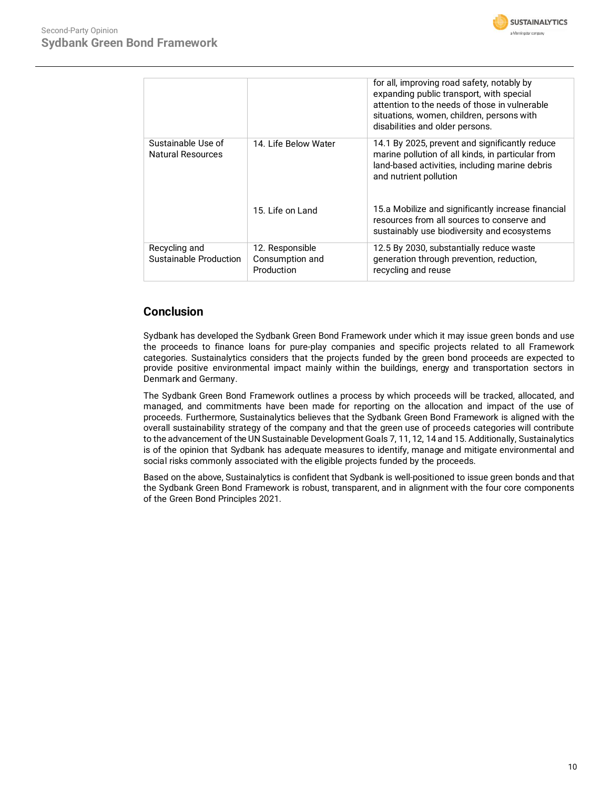

|                                                |                                    | for all, improving road safety, notably by<br>expanding public transport, with special<br>attention to the needs of those in vulnerable<br>situations, women, children, persons with<br>disabilities and older persons. |
|------------------------------------------------|------------------------------------|-------------------------------------------------------------------------------------------------------------------------------------------------------------------------------------------------------------------------|
| Sustainable Use of<br><b>Natural Resources</b> | 14. Life Below Water               | 14.1 By 2025, prevent and significantly reduce<br>marine pollution of all kinds, in particular from<br>land-based activities, including marine debris<br>and nutrient pollution                                         |
|                                                | 15. Life on Land                   | 15.a Mobilize and significantly increase financial<br>resources from all sources to conserve and<br>sustainably use biodiversity and ecosystems                                                                         |
| Recycling and<br>Sustainable Production        | 12. Responsible<br>Consumption and | 12.5 By 2030, substantially reduce waste<br>generation through prevention, reduction,                                                                                                                                   |
|                                                | Production                         | recycling and reuse                                                                                                                                                                                                     |

# **Conclusion**

Sydbank has developed the Sydbank Green Bond Framework under which it may issue green bonds and use the proceeds to finance loans for pure-play companies and specific projects related to all Framework categories. Sustainalytics considers that the projects funded by the green bond proceeds are expected to provide positive environmental impact mainly within the buildings, energy and transportation sectors in Denmark and Germany.

The Sydbank Green Bond Framework outlines a process by which proceeds will be tracked, allocated, and managed, and commitments have been made for reporting on the allocation and impact of the use of proceeds. Furthermore, Sustainalytics believes that the Sydbank Green Bond Framework is aligned with the overall sustainability strategy of the company and that the green use of proceeds categories will contribute to the advancement of the UN Sustainable Development Goals 7, 11, 12, 14 and 15. Additionally, Sustainalytics is of the opinion that Sydbank has adequate measures to identify, manage and mitigate environmental and social risks commonly associated with the eligible projects funded by the proceeds.

Based on the above, Sustainalytics is confident that Sydbank is well-positioned to issue green bonds and that the Sydbank Green Bond Framework is robust, transparent, and in alignment with the four core components of the Green Bond Principles 2021.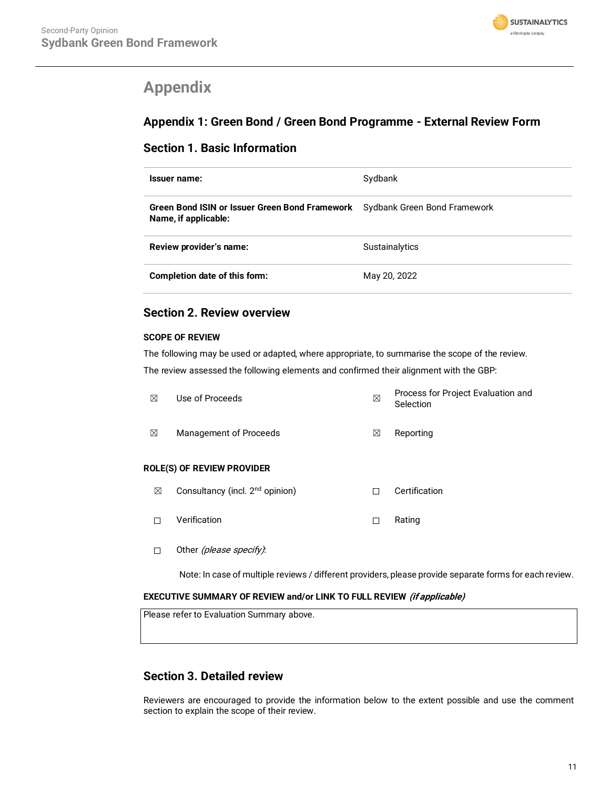

# <span id="page-10-0"></span>**Appendix**

# **Appendix 1: Green Bond / Green Bond Programme - External Review Form**

# **Section 1. Basic Information**

| Issuer name:                                                                                        | Sydbank        |
|-----------------------------------------------------------------------------------------------------|----------------|
| Green Bond ISIN or Issuer Green Bond Framework Sydbank Green Bond Framework<br>Name, if applicable: |                |
| Review provider's name:                                                                             | Sustainalytics |
| Completion date of this form:                                                                       | May 20, 2022   |

# **Section 2. Review overview**

# **SCOPE OF REVIEW**

The following may be used or adapted, where appropriate, to summarise the scope of the review. The review assessed the following elements and confirmed their alignment with the GBP:

| ⊠ | Use of Proceeds                   | ⊠ | Process for Project Evaluation and<br>Selection |
|---|-----------------------------------|---|-------------------------------------------------|
| ⊠ | Management of Proceeds            | ⊠ | Reporting                                       |
|   | <b>ROLE(S) OF REVIEW PROVIDER</b> |   |                                                 |

- ☒ Consultancy (incl. 2nd opinion) ☐ Certification
- ☐ Verification ☐ Rating
- □ Other (please specify):

Note: In case of multiple reviews / different providers, please provide separate forms for each review.

# **EXECUTIVE SUMMARY OF REVIEW and/or LINK TO FULL REVIEW (if applicable)**

Please refer to Evaluation Summary above.

# **Section 3. Detailed review**

Reviewers are encouraged to provide the information below to the extent possible and use the comment section to explain the scope of their review.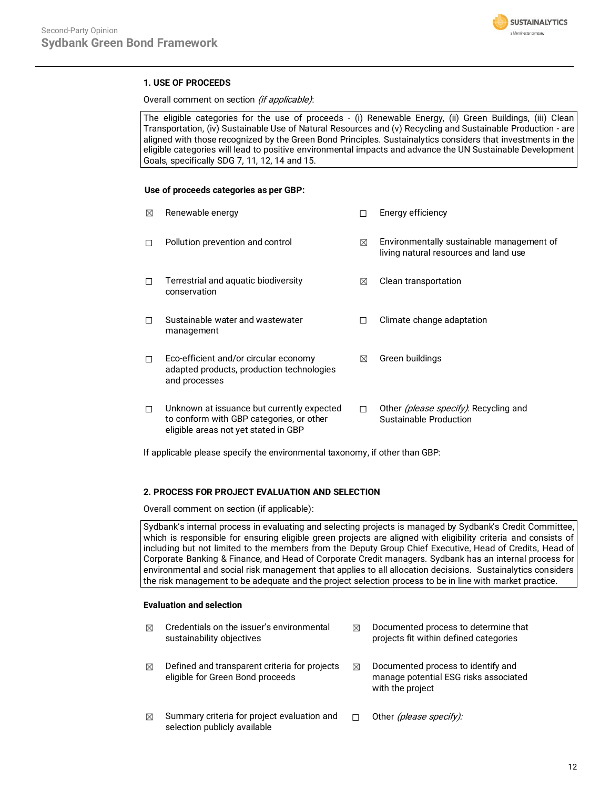

# **1. USE OF PROCEEDS**

Overall comment on section (if applicable):

The eligible categories for the use of proceeds - (i) Renewable Energy, (ii) Green Buildings, (iii) Clean Transportation, (iv) Sustainable Use of Natural Resources and (v) Recycling and Sustainable Production - are aligned with those recognized by the Green Bond Principles. Sustainalytics considers that investments in the eligible categories will lead to positive environmental impacts and advance the UN Sustainable Development Goals, specifically SDG 7, 11, 12, 14 and 15.

#### **Use of proceeds categories as per GBP:**

| ⊠ | Renewable energy                                                                                                               |   | Energy efficiency                                                                  |
|---|--------------------------------------------------------------------------------------------------------------------------------|---|------------------------------------------------------------------------------------|
| п | Pollution prevention and control                                                                                               | ⊠ | Environmentally sustainable management of<br>living natural resources and land use |
| п | Terrestrial and aquatic biodiversity<br>conservation                                                                           | ⊠ | Clean transportation                                                               |
| П | Sustainable water and wastewater<br>management                                                                                 |   | Climate change adaptation                                                          |
| □ | Eco-efficient and/or circular economy<br>adapted products, production technologies<br>and processes                            | ⊠ | Green buildings                                                                    |
| п | Unknown at issuance but currently expected<br>to conform with GBP categories, or other<br>eligible areas not yet stated in GBP | п | Other <i>(please specify)</i> : Recycling and<br>Sustainable Production            |

If applicable please specify the environmental taxonomy, if other than GBP:

# **2. PROCESS FOR PROJECT EVALUATION AND SELECTION**

Overall comment on section (if applicable):

Sydbank's internal process in evaluating and selecting projects is managed by Sydbank's Credit Committee, which is responsible for ensuring eligible green projects are aligned with eligibility criteria and consists of including but not limited to the members from the Deputy Group Chief Executive, Head of Credits, Head of Corporate Banking & Finance, and Head of Corporate Credit managers. Sydbank has an internal process for environmental and social risk management that applies to all allocation decisions. Sustainalytics considers the risk management to be adequate and the project selection process to be in line with market practice.

## **Evaluation and selection**

| ⊠ | Credentials on the issuer's environmental<br>sustainability objectives            | ⊠ | Documented process to determine that<br>projects fit within defined categories                  |
|---|-----------------------------------------------------------------------------------|---|-------------------------------------------------------------------------------------------------|
| ⊠ | Defined and transparent criteria for projects<br>eligible for Green Bond proceeds | ⊠ | Documented process to identify and<br>manage potential ESG risks associated<br>with the project |
| ⊠ | Summary criteria for project evaluation and<br>selection publicly available       |   | Other (please specify):                                                                         |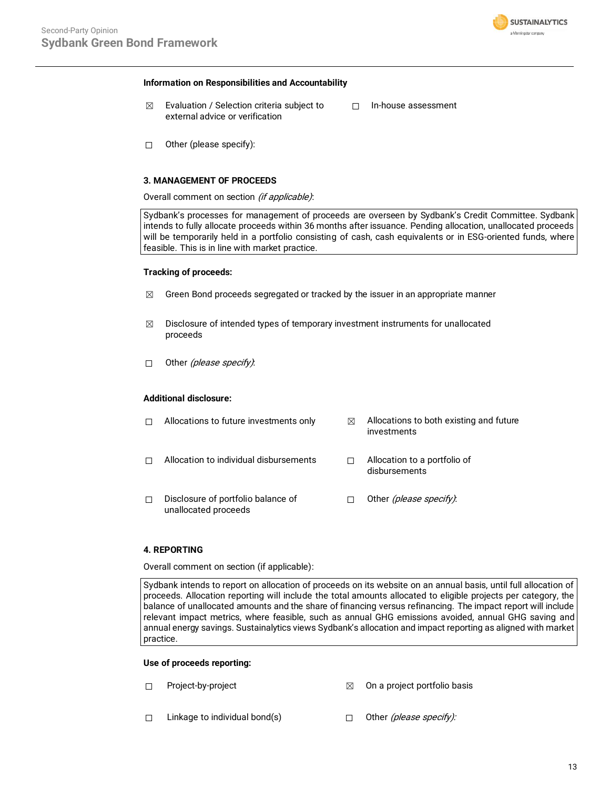

#### **Information on Responsibilities and Accountability**

- $\boxtimes$  Evaluation / Selection criteria subject to external advice or verification
- ☐ In-house assessment

☐ Other (please specify):

## **3. MANAGEMENT OF PROCEEDS**

Overall comment on section (if applicable):

Sydbank's processes for management of proceeds are overseen by Sydbank's Credit Committee. Sydbank intends to fully allocate proceeds within 36 months after issuance. Pending allocation, unallocated proceeds will be temporarily held in a portfolio consisting of cash, cash equivalents or in ESG-oriented funds, where feasible. This is in line with market practice.

#### **Tracking of proceeds:**

- $\boxtimes$  Green Bond proceeds segregated or tracked by the issuer in an appropriate manner
- $\boxtimes$  Disclosure of intended types of temporary investment instruments for unallocated proceeds
- □ Other *(please specify)*:

## **Additional disclosure:**

|   | Allocations to future investments only                     | ⊠ | Allocations to both existing and future<br>investments |
|---|------------------------------------------------------------|---|--------------------------------------------------------|
|   | Allocation to individual disbursements                     |   | Allocation to a portfolio of<br>disbursements          |
| П | Disclosure of portfolio balance of<br>unallocated proceeds |   | Other (please specify).                                |

#### **4. REPORTING**

Overall comment on section (if applicable):

Sydbank intends to report on allocation of proceeds on its website on an annual basis, until full allocation of proceeds. Allocation reporting will include the total amounts allocated to eligible projects per category, the balance of unallocated amounts and the share of financing versus refinancing. The impact report will include relevant impact metrics, where feasible, such as annual GHG emissions avoided, annual GHG saving and annual energy savings. Sustainalytics views Sydbank's allocation and impact reporting as aligned with market practice.

#### **Use of proceeds reporting:**

- ☐ Project-by-project ☒ On a project portfolio basis
- □ Linkage to individual bond(s) □ Other (please specify):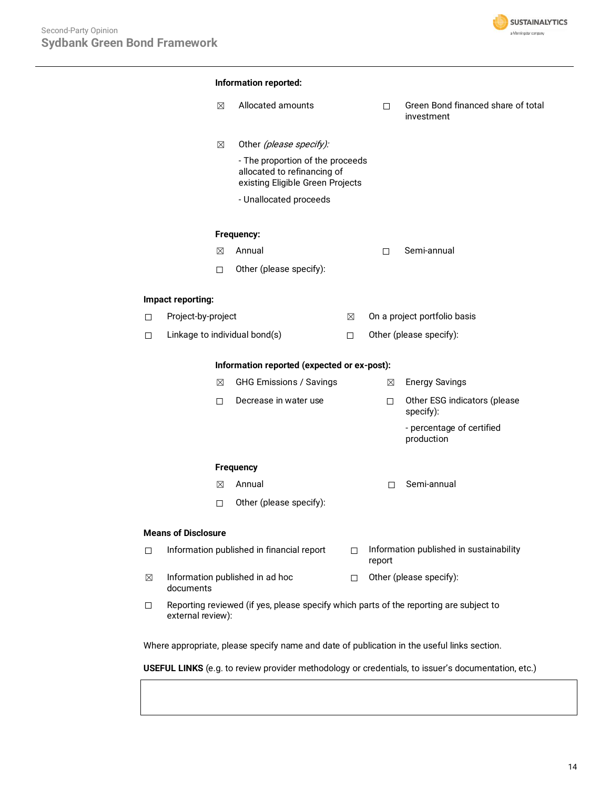

|             | $\boxtimes$                                 | Allocated amounts                                                                                   |        | П                       |        | Green Bond financed share of total<br>investment |
|-------------|---------------------------------------------|-----------------------------------------------------------------------------------------------------|--------|-------------------------|--------|--------------------------------------------------|
|             | ⊠                                           | Other (please specify):                                                                             |        |                         |        |                                                  |
|             |                                             | - The proportion of the proceeds<br>allocated to refinancing of<br>existing Eligible Green Projects |        |                         |        |                                                  |
|             |                                             | - Unallocated proceeds                                                                              |        |                         |        |                                                  |
|             |                                             | Frequency:                                                                                          |        |                         |        |                                                  |
|             | ⊠                                           | Annual                                                                                              |        | □                       |        | Semi-annual                                      |
|             | П.                                          | Other (please specify):                                                                             |        |                         |        |                                                  |
|             | Impact reporting:                           |                                                                                                     |        |                         |        |                                                  |
| $\Box$      | Project-by-project                          |                                                                                                     | ⊠      |                         |        | On a project portfolio basis                     |
| $\Box$      | Linkage to individual bond(s)               |                                                                                                     |        | Other (please specify): |        |                                                  |
|             | Information reported (expected or ex-post): |                                                                                                     |        |                         |        |                                                  |
|             | ⊠                                           | <b>GHG Emissions / Savings</b>                                                                      |        |                         | ⊠      | <b>Energy Savings</b>                            |
|             | П                                           | Decrease in water use                                                                               |        |                         | $\Box$ | Other ESG indicators (please<br>specify):        |
|             |                                             |                                                                                                     |        |                         |        | - percentage of certified<br>production          |
|             |                                             | <b>Frequency</b>                                                                                    |        |                         |        |                                                  |
|             | ⊠                                           | Annual                                                                                              |        |                         | П      | Semi-annual                                      |
|             | □                                           | Other (please specify):                                                                             |        |                         |        |                                                  |
|             | <b>Means of Disclosure</b>                  |                                                                                                     |        |                         |        |                                                  |
| $\Box$      |                                             | Information published in financial report                                                           | $\Box$ | report                  |        | Information published in sustainability          |
| $\boxtimes$ | documents                                   | Information published in ad hoc                                                                     | П      |                         |        | Other (please specify):                          |
| $\Box$      |                                             | Reporting reviewed (if yes, please specify which parts of the reporting are subject to              |        |                         |        |                                                  |

Where appropriate, please specify name and date of publication in the useful links section.

**USEFUL LINKS** (e.g. to review provider methodology or credentials, to issuer's documentation, etc.)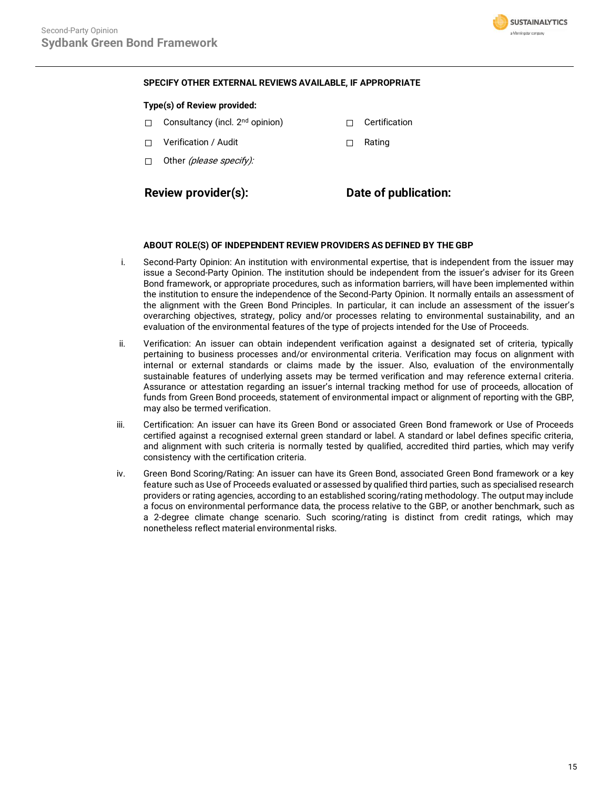

# **SPECIFY OTHER EXTERNAL REVIEWS AVAILABLE, IF APPROPRIATE**

## **Type(s) of Review provided:**

- □ Consultancy (incl. 2<sup>nd</sup> opinion) □ □ Certification
- ☐ Verification / Audit ☐ Rating
- $\Box$  Other *(please specify):*

**Review provider(s): Date of publication:**

## **ABOUT ROLE(S) OF INDEPENDENT REVIEW PROVIDERS AS DEFINED BY THE GBP**

- i. Second-Party Opinion: An institution with environmental expertise, that is independent from the issuer may issue a Second-Party Opinion. The institution should be independent from the issuer's adviser for its Green Bond framework, or appropriate procedures, such as information barriers, will have been implemented within the institution to ensure the independence of the Second-Party Opinion. It normally entails an assessment of the alignment with the Green Bond Principles. In particular, it can include an assessment of the issuer's overarching objectives, strategy, policy and/or processes relating to environmental sustainability, and an evaluation of the environmental features of the type of projects intended for the Use of Proceeds.
- ii. Verification: An issuer can obtain independent verification against a designated set of criteria, typically pertaining to business processes and/or environmental criteria. Verification may focus on alignment with internal or external standards or claims made by the issuer. Also, evaluation of the environmentally sustainable features of underlying assets may be termed verification and may reference external criteria. Assurance or attestation regarding an issuer's internal tracking method for use of proceeds, allocation of funds from Green Bond proceeds, statement of environmental impact or alignment of reporting with the GBP, may also be termed verification.
- iii. Certification: An issuer can have its Green Bond or associated Green Bond framework or Use of Proceeds certified against a recognised external green standard or label. A standard or label defines specific criteria, and alignment with such criteria is normally tested by qualified, accredited third parties, which may verify consistency with the certification criteria.
- iv. Green Bond Scoring/Rating: An issuer can have its Green Bond, associated Green Bond framework or a key feature such as Use of Proceeds evaluated or assessed by qualified third parties, such as specialised research providers or rating agencies, according to an established scoring/rating methodology. The output may include a focus on environmental performance data, the process relative to the GBP, or another benchmark, such as a 2-degree climate change scenario. Such scoring/rating is distinct from credit ratings, which may nonetheless reflect material environmental risks.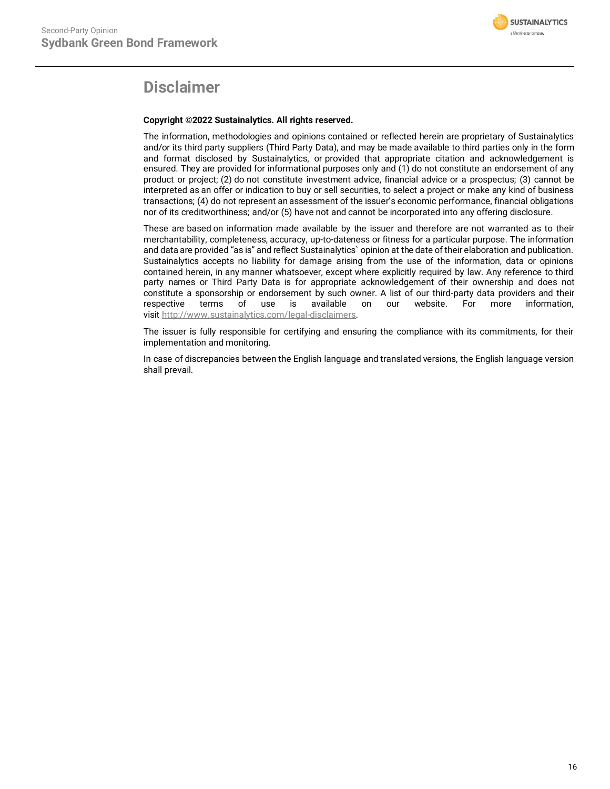

# **Disclaimer**

# **Copyright ©2022 Sustainalytics. All rights reserved.**

The information, methodologies and opinions contained or reflected herein are proprietary of Sustainalytics and/or its third party suppliers (Third Party Data), and may be made available to third parties only in the form and format disclosed by Sustainalytics, or provided that appropriate citation and acknowledgement is ensured. They are provided for informational purposes only and (1) do not constitute an endorsement of any product or project; (2) do not constitute investment advice, financial advice or a prospectus; (3) cannot be interpreted as an offer or indication to buy or sell securities, to select a project or make any kind of business transactions; (4) do not represent an assessment of the issuer's economic performance, financial obligations nor of its creditworthiness; and/or (5) have not and cannot be incorporated into any offering disclosure.

These are based on information made available by the issuer and therefore are not warranted as to their merchantability, completeness, accuracy, up-to-dateness or fitness for a particular purpose. The information and data are provided "as is" and reflect Sustainalytics` opinion at the date of their elaboration and publication. Sustainalytics accepts no liability for damage arising from the use of the information, data or opinions contained herein, in any manner whatsoever, except where explicitly required by law. Any reference to third party names or Third Party Data is for appropriate acknowledgement of their ownership and does not constitute a sponsorship or endorsement by such owner. A list of our third-party data providers and their respective terms of use is available on our website. For more information, visit [http://www.sustainalytics.com/legal-disclaimers.](http://www.sustainalytics.com/legal-disclaimers)

The issuer is fully responsible for certifying and ensuring the compliance with its commitments, for their implementation and monitoring.

In case of discrepancies between the English language and translated versions, the English language version shall prevail.